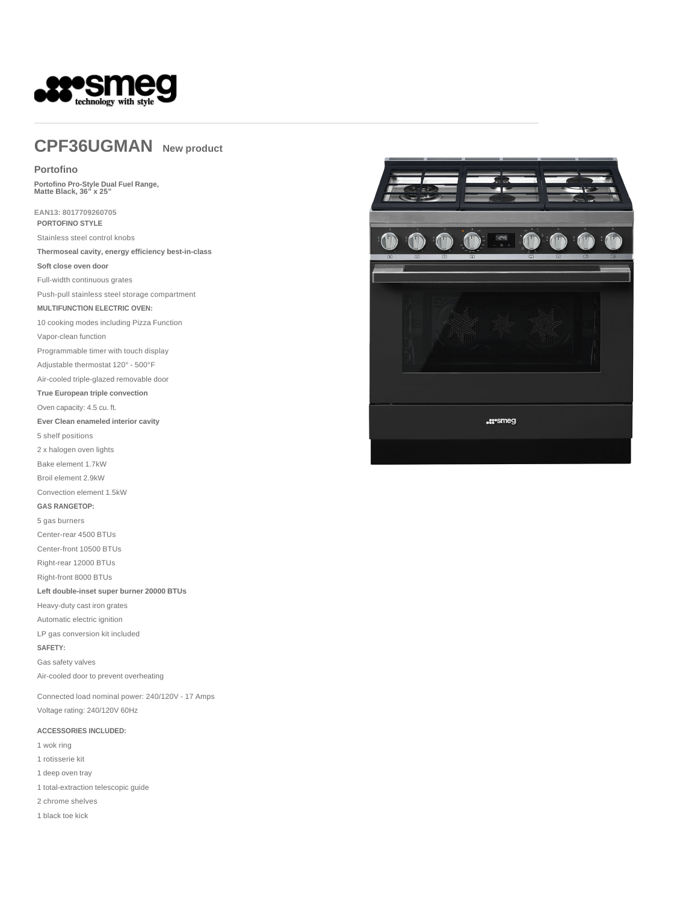

# **CPF36UGMAN New product**

#### **Portofino**

**Portofino Pro-Style Dual Fuel Range, Matte Black, 36" x 25"** 

**EAN13: 8017709260705 PORTOFINO STYLE**

Stainless steel control knobs

**Thermoseal cavity, energy efficiency best-in-class**

**Soft close oven door**

Full-width continuous grates

Push-pull stainless steel storage compartment

#### **MULTIFUNCTION ELECTRIC OVEN:**

10 cooking modes including Pizza Function

Vapor-clean function

Programmable timer with touch display

Adjustable thermostat 120° - 500°F

Air-cooled triple-glazed removable door

**True European triple convection**

Oven capacity: 4.5 cu. ft.

**Ever Clean enameled interior cavity**

5 shelf positions

2 x halogen oven lights

Bake element 1.7kW

Broil element 2.9kW

Convection element 1.5kW

**GAS RANGETOP:**

5 gas burners Center-rear 4500 BTUs

Center-front 10500 BTUs

Right-rear 12000 BTUs

Right-front 8000 BTUs

#### **Left double-inset super burner 20000 BTUs**

Heavy-duty cast iron grates

Automatic electric ignition

LP gas conversion kit included

#### **SAFETY:**

Gas safety valves

Air-cooled door to prevent overheating

Connected load nominal power: 240/120V - 17 Amps Voltage rating: 240/120V 60Hz

#### **ACCESSORIES INCLUDED:**

- 1 wok ring
- 1 rotisserie kit
- 1 deep oven tray

1 total-extraction telescopic guide

2 chrome shelves

1 black toe kick

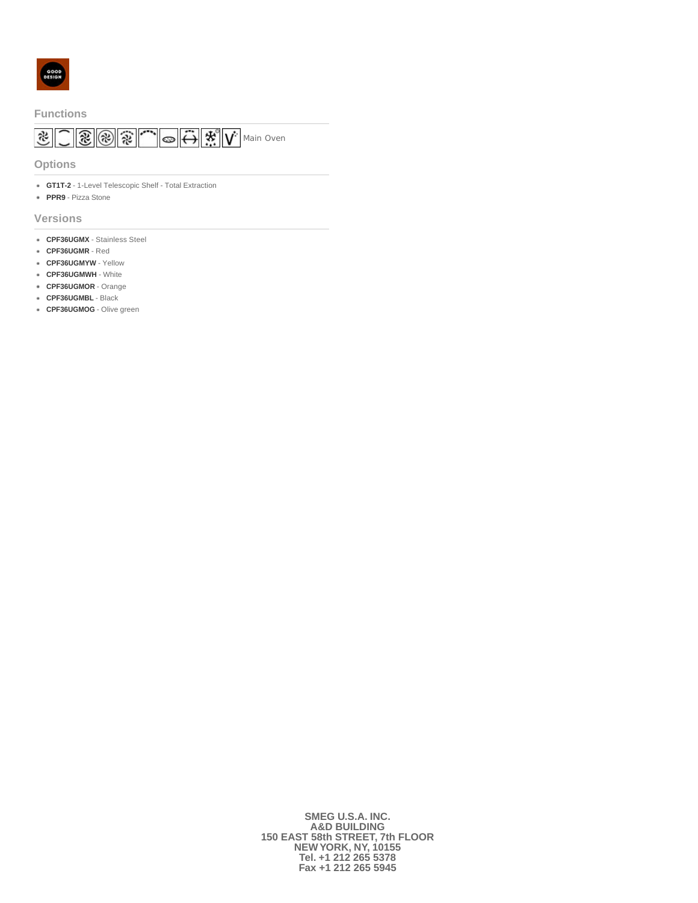

#### **Functions**

# $\boxed{\mathcal{Z} \sim \mathcal{Z} \sim \mathcal{Z} \sim \mathcal{Z} \sim \mathcal{Z} \sim \mathcal{Z} \sim \mathcal{Z} \sim \mathcal{Z} \sim \mathcal{Z} \sim \mathcal{Z} \sim \mathcal{Z} \sim \mathcal{Z} \sim \mathcal{Z} \sim \mathcal{Z} \sim \mathcal{Z} \sim \mathcal{Z} \sim \mathcal{Z} \sim \mathcal{Z} \sim \mathcal{Z} \sim \mathcal{Z} \sim \mathcal{Z} \sim \mathcal{Z} \sim \mathcal{Z} \sim \mathcal{Z} \sim \mathcal{Z} \sim \mathcal{Z} \sim \mathcal{Z} \sim \math$

**Options**

- **GT1T-2** 1-Level Telescopic Shelf Total Extraction
- **PPR9** Pizza Stone

**Versions**

- **CPF36UGMX** Stainless Steel
- **CPF36UGMR** Red
- **CPF36UGMYW** Yellow
- **CPF36UGMWH** White
- **CPF36UGMOR** Orange
- **CPF36UGMBL** Black
- **CPF36UGMOG** Olive green

**SMEG U.S.A. INC. A&D BUILDING 150 EAST 58th STREET, 7th FLOOR NEW YORK, NY, 10155 Tel. +1 212 265 5378 Fax +1 212 265 5945**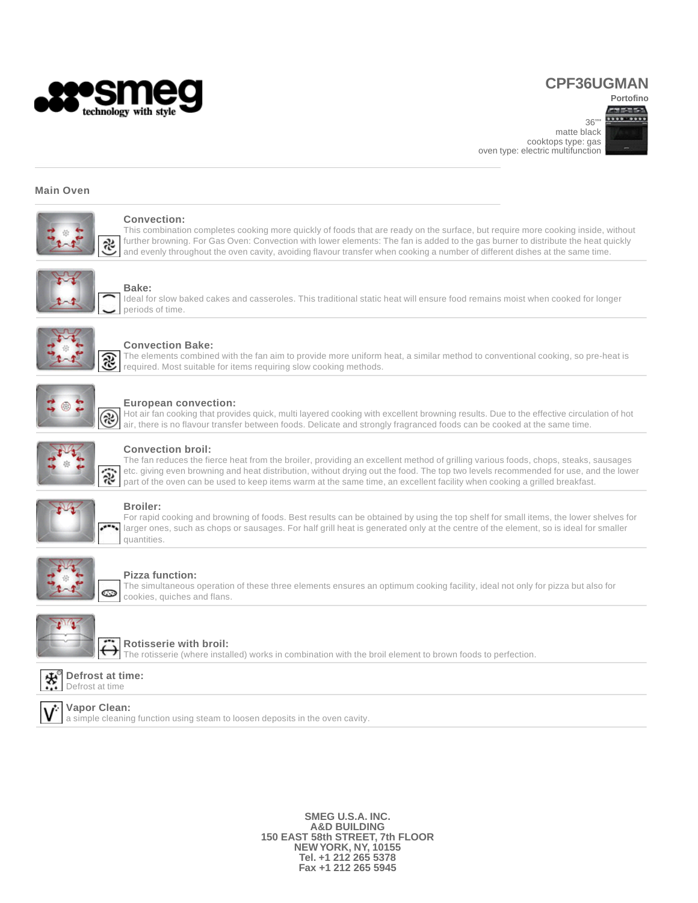

## **CPF36UGMAN**

**Portofino** 

 $36"$ matte black cooktops type: gas oven type: electric multifunction



#### **Main Oven**



#### **Convection:**

This combination completes cooking more quickly of foods that are ready on the surface, but require more cooking inside, without further browning. For Gas Oven: Convection with lower elements: The fan is added to the gas burner to distribute the heat quickly and evenly throughout the oven cavity, avoiding flavour transfer when cooking a number of different dishes at the same time.



#### **Bake:**

Ideal for slow baked cakes and casseroles. This traditional static heat will ensure food remains moist when cooked for longer periods of time.



#### **Convection Bake:**

The elements combined with the fan aim to provide more uniform heat, a similar method to conventional cooking, so pre-heat is required. Most suitable for items requiring slow cooking methods.



#### **European convection:**

Hot air fan cooking that provides quick, multi layered cooking with excellent browning results. Due to the effective circulation of hot air, there is no flavour transfer between foods. Delicate and strongly fragranced foods can be cooked at the same time.



#### **Convection broil:**

The fan reduces the fierce heat from the broiler, providing an excellent method of grilling various foods, chops, steaks, sausages etc. giving even browning and heat distribution, without drying out the food. The top two levels recommended for use, and the lower part of the oven can be used to keep items warm at the same time, an excellent facility when cooking a grilled breakfast.



#### **Broiler:**

For rapid cooking and browning of foods. Best results can be obtained by using the top shelf for small items, the lower shelves for larger ones, such as chops or sausages. For half grill heat is generated only at the centre of the element, so is ideal for smaller quantities.



#### **Pizza function:**

The simultaneous operation of these three elements ensures an optimum cooking facility, ideal not only for pizza but also for cookies, quiches and flans.



#### **Rotisserie with broil:**

The rotisserie (where installed) works in combination with the broil element to brown foods to perfection.





#### **Vapor Clean:**

a simple cleaning function using steam to loosen deposits in the oven cavity.

**SMEG U.S.A. INC. A&D BUILDING 150 EAST 58th STREET, 7th FLOOR NEW YORK, NY, 10155 Tel. +1 212 265 5378 Fax +1 212 265 5945**